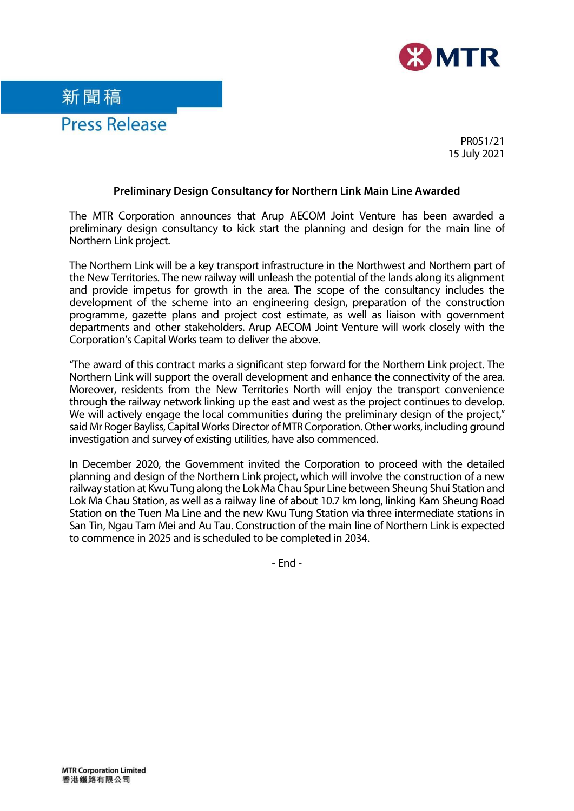

PR051/21 15 July 2021

## **Preliminary Design Consultancy for Northern Link Main Line Awarded**

The MTR Corporation announces that Arup AECOM Joint Venture has been awarded a preliminary design consultancy to kick start the planning and design for the main line of Northern Link project.

The Northern Link will be a key transport infrastructure in the Northwest and Northern part of the New Territories. The new railway will unleash the potential of the lands along its alignment and provide impetus for growth in the area. The scope of the consultancy includes the development of the scheme into an engineering design, preparation of the construction programme, gazette plans and project cost estimate, as well as liaison with government departments and other stakeholders. Arup AECOM Joint Venture will work closely with the Corporation's Capital Works team to deliver the above.

"The award of this contract marks a significant step forward for the Northern Link project. The Northern Link will support the overall development and enhance the connectivity of the area. Moreover, residents from the New Territories North will enjoy the transport convenience through the railway network linking up the east and west as the project continues to develop. We will actively engage the local communities during the preliminary design of the project," said Mr Roger Bayliss, Capital Works Director of MTR Corporation. Other works, including ground investigation and survey of existing utilities, have also commenced.

In December 2020, the Government invited the Corporation to proceed with the detailed planning and design of the Northern Link project, which will involve the construction of a new railway station at Kwu Tung along the Lok Ma Chau Spur Line between Sheung Shui Station and Lok Ma Chau Station, as well as a railway line of about 10.7 km long, linking Kam Sheung Road Station on the Tuen Ma Line and the new Kwu Tung Station via three intermediate stations in San Tin, Ngau Tam Mei and Au Tau. Construction of the main line of Northern Link is expected to commence in 2025 and is scheduled to be completed in 2034.

- End -